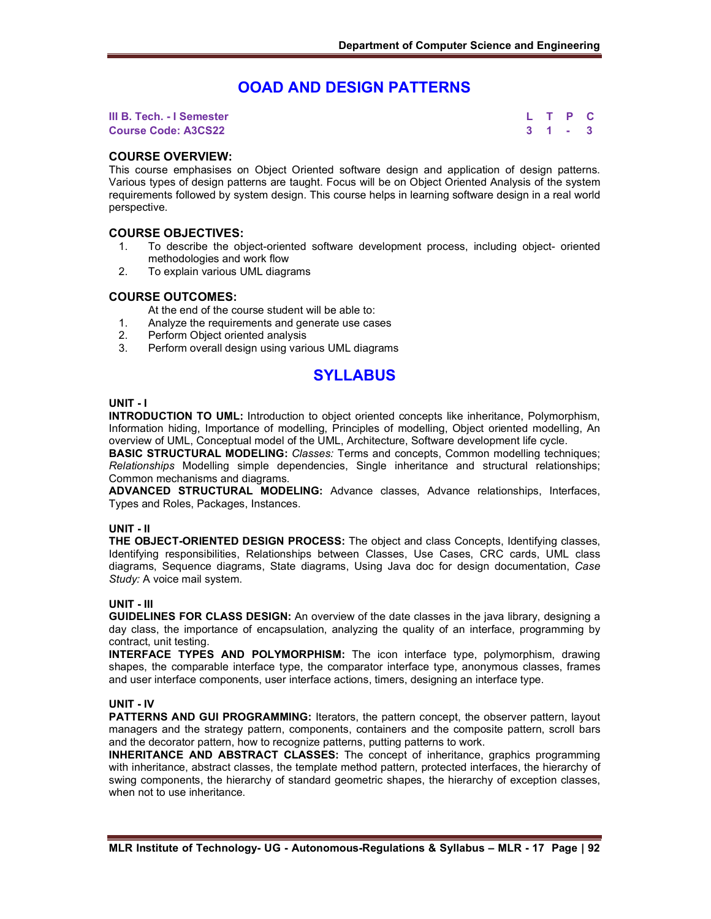## **OOAD AND DESIGN PATTERNS**

**III B. Tech. - I Semester L T P C Course Code: A3CS22 3 1 - 3**

## **COURSE OVERVIEW:**

This course emphasises on Object Oriented software design and application of design patterns. Various types of design patterns are taught. Focus will be on Object Oriented Analysis of the system requirements followed by system design. This course helps in learning software design in a real world perspective.

## **COURSE OBJECTIVES:**

- 1. To describe the object-oriented software development process, including object- oriented methodologies and work flow
- 2. To explain various UML diagrams

## **COURSE OUTCOMES:**

At the end of the course student will be able to:

- 1. Analyze the requirements and generate use cases
- 2. Perform Object oriented analysis
- 3. Perform overall design using various UML diagrams

# **SYLLABUS**

#### **UNIT - I**

**INTRODUCTION TO UML:** Introduction to object oriented concepts like inheritance, Polymorphism, Information hiding, Importance of modelling, Principles of modelling, Object oriented modelling, An overview of UML, Conceptual model of the UML, Architecture, Software development life cycle.

**BASIC STRUCTURAL MODELING:** *Classes:* Terms and concepts, Common modelling techniques; *Relationships* Modelling simple dependencies, Single inheritance and structural relationships; Common mechanisms and diagrams.

**ADVANCED STRUCTURAL MODELING:** Advance classes, Advance relationships, Interfaces, Types and Roles, Packages, Instances.

#### **UNIT - II**

**THE OBJECT-ORIENTED DESIGN PROCESS:** The object and class Concepts, Identifying classes, Identifying responsibilities, Relationships between Classes, Use Cases, CRC cards, UML class diagrams, Sequence diagrams, State diagrams, Using Java doc for design documentation, *Case Study:* A voice mail system.

#### **UNIT - III**

**GUIDELINES FOR CLASS DESIGN:** An overview of the date classes in the java library, designing a day class, the importance of encapsulation, analyzing the quality of an interface, programming by contract, unit testing.

**INTERFACE TYPES AND POLYMORPHISM:** The icon interface type, polymorphism, drawing shapes, the comparable interface type, the comparator interface type, anonymous classes, frames and user interface components, user interface actions, timers, designing an interface type.

#### **UNIT - IV**

**PATTERNS AND GUI PROGRAMMING:** Iterators, the pattern concept, the observer pattern, layout managers and the strategy pattern, components, containers and the composite pattern, scroll bars and the decorator pattern, how to recognize patterns, putting patterns to work.

**INHERITANCE AND ABSTRACT CLASSES:** The concept of inheritance, graphics programming with inheritance, abstract classes, the template method pattern, protected interfaces, the hierarchy of swing components, the hierarchy of standard geometric shapes, the hierarchy of exception classes, when not to use inheritance.